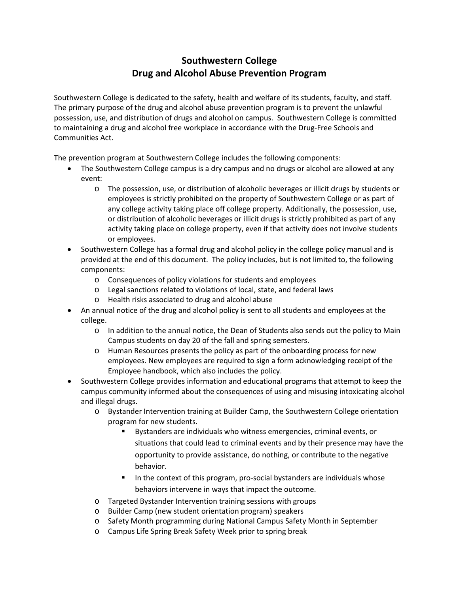# **Southwestern College Drug and Alcohol Abuse Prevention Program**

Southwestern College is dedicated to the safety, health and welfare of its students, faculty, and staff. The primary purpose of the drug and alcohol abuse prevention program is to prevent the unlawful possession, use, and distribution of drugs and alcohol on campus. Southwestern College is committed to maintaining a drug and alcohol free workplace in accordance with the Drug-Free Schools and Communities Act.

The prevention program at Southwestern College includes the following components:

- The Southwestern College campus is a dry campus and no drugs or alcohol are allowed at any event:
	- o The possession, use, or distribution of alcoholic beverages or illicit drugs by students or employees is strictly prohibited on the property of Southwestern College or as part of any college activity taking place off college property. Additionally, the possession, use, or distribution of alcoholic beverages or illicit drugs is strictly prohibited as part of any activity taking place on college property, even if that activity does not involve students or employees.
- Southwestern College has a formal drug and alcohol policy in the college policy manual and is provided at the end of this document. The policy includes, but is not limited to, the following components:
	- o Consequences of policy violations for students and employees
	- o Legal sanctions related to violations of local, state, and federal laws
	- o Health risks associated to drug and alcohol abuse
- An annual notice of the drug and alcohol policy is sent to all students and employees at the college.
	- o In addition to the annual notice, the Dean of Students also sends out the policy to Main Campus students on day 20 of the fall and spring semesters.
	- o Human Resources presents the policy as part of the onboarding process for new employees. New employees are required to sign a form acknowledging receipt of the Employee handbook, which also includes the policy.
- Southwestern College provides information and educational programs that attempt to keep the campus community informed about the consequences of using and misusing intoxicating alcohol and illegal drugs.
	- Bystander Intervention training at Builder Camp, the Southwestern College orientation program for new students.
		- Bystanders are individuals who witness emergencies, criminal events, or situations that could lead to criminal events and by their presence may have the opportunity to provide assistance, do nothing, or contribute to the negative behavior.
		- In the context of this program, pro-social bystanders are individuals whose behaviors intervene in ways that impact the outcome.
	- o Targeted Bystander Intervention training sessions with groups
	- o Builder Camp (new student orientation program) speakers
	- o Safety Month programming during National Campus Safety Month in September
	- o Campus Life Spring Break Safety Week prior to spring break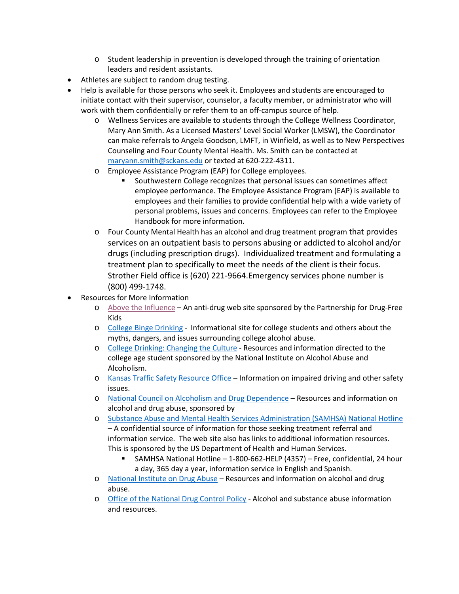- o Student leadership in prevention is developed through the training of orientation leaders and resident assistants.
- Athletes are subject to random drug testing.
- Help is available for those persons who seek it. Employees and students are encouraged to initiate contact with their supervisor, counselor, a faculty member, or administrator who will work with them confidentially or refer them to an off-campus source of help.
	- o Wellness Services are available to students through the College Wellness Coordinator, Mary Ann Smith. As a Licensed Masters' Level Social Worker (LMSW), the Coordinator can make referrals to Angela Goodson, LMFT, in Winfield, as well as to New Perspectives Counseling and Four County Mental Health. Ms. Smith can be contacted at [maryann.smith@sckans.edu](mailto:maryann.smith@sckans.edu) or texted at 620-222-4311.
	- o Employee Assistance Program (EAP) for College employees.
		- Southwestern College recognizes that personal issues can sometimes affect employee performance. The Employee Assistance Program (EAP) is available to employees and their families to provide confidential help with a wide variety of personal problems, issues and concerns. Employees can refer to the Employee Handbook for more information.
	- o Four County Mental Health has an alcohol and drug treatment program that provides services on an outpatient basis to persons abusing or addicted to alcohol and/or drugs (including prescription drugs). Individualized treatment and formulating a treatment plan to specifically to meet the needs of the client is their focus. Strother Field office is (620) 221-9664.Emergency services phone number is (800) 499-1748.
- Resources for More Information
	- o [Above the Influence](http://abovetheinfluence.com/) An anti-drug web site sponsored by the Partnership for Drug-Free Kids
	- o [College Binge Drinking](https://www.collegebingedrinking.net/) Informational site for college students and others about the myths, dangers, and issues surrounding college alcohol abuse.
	- o [College Drinking: Changing the Culture](https://www.collegedrinkingprevention.gov/) Resources and information directed to the college age student sponsored by the National Institute on Alcohol Abuse and Alcoholism.
	- o [Kansas Traffic Safety Resource Office](https://www.ktsro.org/) Information on impaired driving and other safety issues.
	- o [National Council on Alcoholism and Drug Dependence](https://www.ncadd.org/) Resources and information on alcohol and drug abuse, sponsored by
	- o [Substance Abuse and Mental Health Services Administration \(SAMHSA\) National Hotline](https://www.samhsa.gov/find-help/national-helpline) – A confidential source of information for those seeking treatment referral and information service. The web site also has links to additional information resources. This is sponsored by the US Department of Health and Human Services.
		- SAMHSA National Hotline 1-800-662-HELP (4357) Free, confidential, 24 hour a day, 365 day a year, information service in English and Spanish.
	- o [National Institute on Drug Abuse](https://www.drugabuse.gov/) Resources and information on alcohol and drug abuse.
	- o [Office of the National Drug Control Policy](https://www.whitehouse.gov/ondcp) Alcohol and substance abuse information and resources.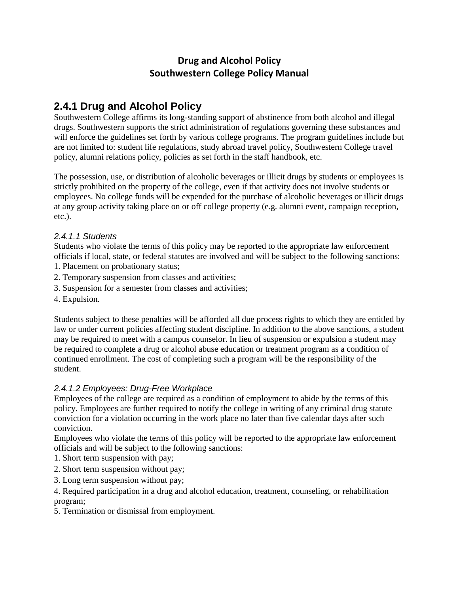# **Drug and Alcohol Policy Southwestern College Policy Manual**

# **2.4.1 Drug and Alcohol Policy**

Southwestern College affirms its long-standing support of abstinence from both alcohol and illegal drugs. Southwestern supports the strict administration of regulations governing these substances and will enforce the guidelines set forth by various college programs. The program guidelines include but are not limited to: student life regulations, study abroad travel policy, Southwestern College travel policy, alumni relations policy, policies as set forth in the staff handbook, etc.

The possession, use, or distribution of alcoholic beverages or illicit drugs by students or employees is strictly prohibited on the property of the college, even if that activity does not involve students or employees. No college funds will be expended for the purchase of alcoholic beverages or illicit drugs at any group activity taking place on or off college property (e.g. alumni event, campaign reception, etc.).

## *2.4.1.1 Students*

Students who violate the terms of this policy may be reported to the appropriate law enforcement officials if local, state, or federal statutes are involved and will be subject to the following sanctions:

- 1. Placement on probationary status;
- 2. Temporary suspension from classes and activities;
- 3. Suspension for a semester from classes and activities;
- 4. Expulsion.

Students subject to these penalties will be afforded all due process rights to which they are entitled by law or under current policies affecting student discipline. In addition to the above sanctions, a student may be required to meet with a campus counselor. In lieu of suspension or expulsion a student may be required to complete a drug or alcohol abuse education or treatment program as a condition of continued enrollment. The cost of completing such a program will be the responsibility of the student.

## *2.4.1.2 Employees: Drug-Free Workplace*

Employees of the college are required as a condition of employment to abide by the terms of this policy. Employees are further required to notify the college in writing of any criminal drug statute conviction for a violation occurring in the work place no later than five calendar days after such conviction.

Employees who violate the terms of this policy will be reported to the appropriate law enforcement officials and will be subject to the following sanctions:

- 1. Short term suspension with pay;
- 2. Short term suspension without pay;
- 3. Long term suspension without pay;

4. Required participation in a drug and alcohol education, treatment, counseling, or rehabilitation program;

5. Termination or dismissal from employment.